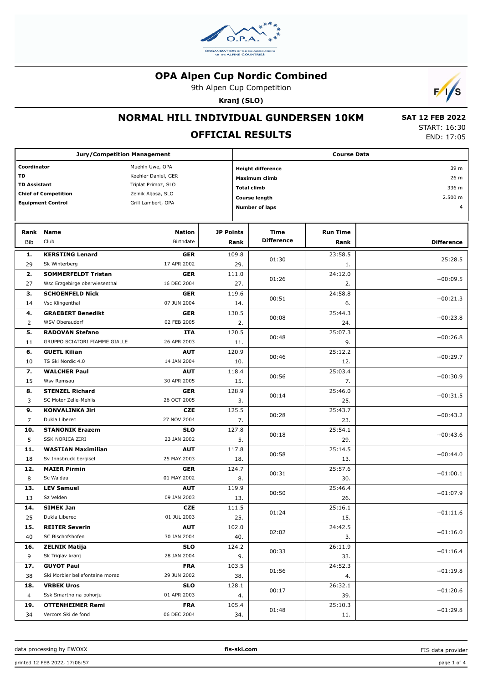

9th Alpen Cup Competition

**Kranj (SLO)**



#### **NORMAL HILL INDIVIDUAL GUNDERSEN 10KM**

# **OFFICIAL RESULTS**

 **SAT 12 FEB 2022** START: 16:30 END: 17:05

| <b>Jury/Competition Management</b>         |                                 |                    |                  | <b>Course Data</b>       |                           |                 |                   |
|--------------------------------------------|---------------------------------|--------------------|------------------|--------------------------|---------------------------|-----------------|-------------------|
| Coordinator<br>Muehln Uwe, OPA             |                                 |                    |                  | <b>Height difference</b> |                           |                 |                   |
| TD<br>Koehler Daniel, GER                  |                                 |                    | Maximum climb    |                          |                           |                 | 26 m              |
| <b>TD Assistant</b><br>Triplat Primoz, SLO |                                 |                    |                  |                          | <b>Total climb</b>        |                 | 336 m             |
|                                            | <b>Chief of Competition</b>     | Zelnik Aljosa, SLO |                  |                          | <b>Course length</b>      | 2.500 m         |                   |
|                                            | <b>Equipment Control</b>        | Grill Lambert, OPA |                  |                          | <b>Number of laps</b>     |                 | 4                 |
|                                            |                                 |                    |                  |                          |                           |                 |                   |
| Rank                                       | <b>Name</b>                     | <b>Nation</b>      | <b>JP Points</b> |                          | Time<br><b>Difference</b> | <b>Run Time</b> |                   |
| <b>Bib</b>                                 | Club                            | Birthdate          | Rank             |                          |                           | Rank            | <b>Difference</b> |
| 1.                                         | <b>KERSTING Lenard</b>          | <b>GER</b>         | 109.8            |                          | 01:30                     | 23:58.5         | 25:28.5           |
| 29                                         | Sk Winterberg                   | 17 APR 2002        |                  | 29.                      |                           | 1.              |                   |
| 2.                                         | <b>SOMMERFELDT Tristan</b>      | <b>GER</b>         | 111.0            |                          | 01:26                     | 24:12.0         | $+00:09.5$        |
| 27                                         | Wsc Erzgebirge oberwiesenthal   | 16 DEC 2004        |                  | 27.                      |                           | 2.              |                   |
| з.                                         | <b>SCHOENFELD Nick</b>          | <b>GER</b>         | 119.6            |                          | 00:51                     | 24:58.8         | $+00:21.3$        |
| 14                                         | Vsc Klingenthal                 | 07 JUN 2004        |                  | 14.                      |                           | 6.              |                   |
| 4.                                         | <b>GRAEBERT Benedikt</b>        | <b>GER</b>         | 130.5            |                          | 00:08                     | 25:44.3         |                   |
| $\overline{2}$                             | WSV Oberaudorf                  | 02 FEB 2005        |                  | 2.                       |                           | 24.             | $+00:23.8$        |
| 5.                                         | <b>RADOVAN Stefano</b>          | <b>ITA</b>         | 120.5            |                          |                           | 25:07.3         |                   |
| 11                                         | GRUPPO SCIATORI FIAMME GIALLE   | 26 APR 2003        |                  | 11.                      | 00:48                     | 9.              | $+00:26.8$        |
| 6.                                         | <b>GUETL Kilian</b>             | <b>AUT</b>         | 120.9            |                          |                           | 25:12.2         |                   |
| 10                                         | TS Ski Nordic 4.0               | 14 JAN 2004        |                  | 10.                      | 00:46                     | 12.             | $+00:29.7$        |
| 7.                                         | <b>WALCHER Paul</b>             | <b>AUT</b>         | 118.4            |                          |                           | 25:03.4         |                   |
| 15                                         | Wsv Ramsau                      | 30 APR 2005        |                  | 15.                      | 00:56                     | 7.              | $+00:30.9$        |
| 8.                                         | <b>STENZEL Richard</b>          | <b>GER</b>         | 128.9            |                          |                           | 25:46.0         |                   |
| 3                                          | SC Motor Zelle-Mehlis           | 26 OCT 2005        |                  | 3.                       | 00:14                     | 25.             | $+00:31.5$        |
| 9.                                         | <b>KONVALINKA Jiri</b>          | <b>CZE</b>         | 125.5            |                          |                           | 25:43.7         |                   |
| 7                                          | Dukla Liberec                   | 27 NOV 2004        |                  | 7.                       | 00:28                     | 23.             | $+00:43.2$        |
| 10.                                        | <b>STANONIK Erazem</b>          | <b>SLO</b>         | 127.8            |                          |                           | 25:54.1         |                   |
| 5                                          | SSK NORICA ZIRI                 | 23 JAN 2002        |                  | 5.                       | 00:18                     | 29.             | $+00:43.6$        |
| 11.                                        | <b>WASTIAN Maximilian</b>       | <b>AUT</b>         | 117.8            |                          |                           | 25:14.5         |                   |
| 18                                         | Sv Innsbruck bergisel           | 25 MAY 2003        |                  | 18.                      | 00:58                     | 13.             | $+00:44.0$        |
| 12.                                        | <b>MAIER Pirmin</b>             | <b>GER</b>         | 124.7            |                          |                           | 25:57.6         |                   |
| 8                                          | Sc Waldau                       | 01 MAY 2002        |                  | 8.                       | 00:31                     | 30.             | $+01:00.1$        |
| 13.                                        | <b>LEV Samuel</b>               | <b>AUT</b>         | 119.9            |                          |                           | 25:46.4         |                   |
| 13                                         | Sz Velden                       | 09 JAN 2003        |                  | 13.                      | 00:50                     | 26.             | $+01:07.9$        |
| 14.                                        | <b>SIMEK Jan</b>                | <b>CZE</b>         | 111.5            |                          |                           | 25:16.1         |                   |
| 25                                         | Dukla Liberec                   | 01 JUL 2003        |                  | 25.                      | 01:24                     | 15.             | $+01:11.6$        |
| 15.                                        | <b>REITER Severin</b>           | <b>AUT</b>         | 102.0            |                          |                           | 24:42.5         |                   |
| 40                                         | SC Bischofshofen                | 30 JAN 2004        |                  | 40.                      | 02:02                     | 3.              | $+01:16.0$        |
| 16.                                        | <b>ZELNIK Matija</b>            | <b>SLO</b>         | 124.2            |                          |                           | 26:11.9         |                   |
| 9                                          | Sk Triglav kranj                | 28 JAN 2004        |                  | 9.                       | 00:33                     | 33.             | $+01:16.4$        |
| 17.                                        | <b>GUYOT Paul</b>               | <b>FRA</b>         | 103.5            |                          |                           | 24:52.3         |                   |
| 38                                         | Ski Morbier bellefontaine morez | 29 JUN 2002        |                  | 38.                      | 01:56                     | 4.              | $+01:19.8$        |
| 18.                                        | <b>VRBEK Uros</b>               | <b>SLO</b>         | 128.1            |                          |                           | 26:32.1         |                   |
| 4                                          | Ssk Smartno na pohorju          | 01 APR 2003        |                  | 4.                       | 00:17                     | 39.             | $+01:20.6$        |
| 19.                                        | <b>OTTENHEIMER Remi</b>         | <b>FRA</b>         | 105.4            |                          |                           | 25:10.3         |                   |
| 34                                         | Vercors Ski de fond             | 06 DEC 2004        |                  | 34.                      | 01:48                     | 11.             | $+01:29.8$        |

FIS data provider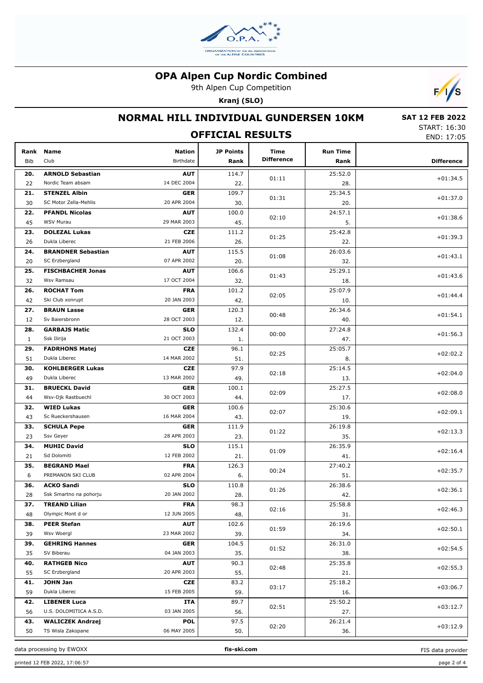

9th Alpen Cup Competition

**Kranj (SLO)**



## **NORMAL HILL INDIVIDUAL GUNDERSEN 10KM**

 **SAT 12 FEB 2022** START: 16:30 END: 17:05

|              | <b>JIANI, 10.JU</b><br>END: 17:05             |                            |                          |                           |                         |                   |
|--------------|-----------------------------------------------|----------------------------|--------------------------|---------------------------|-------------------------|-------------------|
| Rank<br>Bib  | Name<br>Club                                  | <b>Nation</b><br>Birthdate | <b>JP Points</b><br>Rank | Time<br><b>Difference</b> | <b>Run Time</b><br>Rank | <b>Difference</b> |
| 20.          | <b>ARNOLD Sebastian</b>                       | <b>AUT</b>                 | 114.7                    | 01:11                     | 25:52.0                 | $+01:34.5$        |
| 22           | Nordic Team absam                             | 14 DEC 2004                | 22.                      |                           | 28.                     |                   |
| 21.          | <b>STENZEL Albin</b>                          | <b>GER</b>                 | 109.7                    | 01:31                     | 25:34.5                 | $+01:37.0$        |
| 30           | SC Motor Zella-Mehlis                         | 20 APR 2004                | 30.                      |                           | 20.                     |                   |
| 22.          | <b>PFANDL Nicolas</b>                         | <b>AUT</b>                 | 100.0                    | 02:10                     | 24:57.1                 | $+01:38.6$        |
| 45           | <b>WSV Murau</b>                              | 29 MAR 2003                | 45.                      |                           | 5.                      |                   |
| 23.          | <b>DOLEZAL Lukas</b>                          | <b>CZE</b>                 | 111.2                    |                           | 25:42.8                 | $+01:39.3$        |
| 26           | Dukla Liberec                                 | 21 FEB 2006                | 26.                      | 01:25                     | 22.                     |                   |
| 24.          | <b>BRANDNER Sebastian</b>                     | <b>AUT</b>                 | 115.5                    |                           | 26:03.6                 |                   |
| 20           | SC Erzbergland                                | 07 APR 2002                | 20.                      | 01:08                     | 32.                     | $+01:43.1$        |
| 25.          | <b>FISCHBACHER Jonas</b>                      | <b>AUT</b>                 | 106.6                    |                           | 25:29.1                 |                   |
| 32           | Wsv Ramsau                                    | 17 OCT 2004                | 32.                      | 01:43                     | 18.                     | $+01:43.6$        |
| 26.          | <b>ROCHAT Tom</b>                             | <b>FRA</b>                 | 101.2                    |                           | 25:07.9                 |                   |
| 42           | Ski Club xonrupt                              | 20 JAN 2003                | 42.                      | 02:05                     | 10.                     | $+01:44.4$        |
| 27.          | <b>BRAUN Lasse</b>                            | <b>GER</b>                 | 120.3                    |                           | 26:34.6                 |                   |
| 12           | Sv Baiersbronn                                | 28 OCT 2003                | 12.                      | 00:48                     | 40.                     | $+01:54.1$        |
| 28.          | <b>GARBAJS Matic</b>                          | <b>SLO</b>                 | 132.4                    |                           | 27:24.8                 |                   |
| $\mathbf{1}$ | Ssk Ilirija                                   | 21 OCT 2003                | 1.                       | 00:00                     | 47.                     | $+01:56.3$        |
| 29.          | <b>FADRHONS Matej</b>                         | <b>CZE</b>                 | 96.1                     |                           | 25:05.7                 |                   |
| 51           | Dukla Liberec                                 | 14 MAR 2002                | 51.                      | 02:25                     | 8.                      | $+02:02.2$        |
| 30.          | <b>KOHLBERGER Lukas</b>                       | <b>CZE</b>                 | 97.9                     |                           | 25:14.5                 |                   |
| 49           | Dukla Liberec                                 | 13 MAR 2002                | 49.                      | 02:18                     | 13.                     | $+02:04.0$        |
| 31.          | <b>BRUECKL David</b>                          | <b>GER</b>                 | 100.1                    |                           | 25:27.5                 |                   |
| 44           | Wsv-Djk Rastbuechl                            | 30 OCT 2003                | 44.                      | 02:09                     | 17.                     | $+02:08.0$        |
| 32.          | <b>WIED Lukas</b>                             | <b>GER</b>                 | 100.6                    |                           | 25:30.6                 |                   |
| 43           | Sc Rueckershausen                             | 16 MAR 2004                | 43.                      | 02:07                     | 19.                     | $+02:09.1$        |
| 33.          | <b>SCHULA Pepe</b>                            | <b>GER</b>                 | 111.9                    |                           | 26:19.8                 |                   |
| 23           | Ssv Geyer                                     | 28 APR 2003                | 23.                      | 01:22                     | 35.                     | $+02:13.3$        |
| 34.          | <b>MUHIC David</b>                            | <b>SLO</b>                 | 115.1                    |                           | 26:35.9                 |                   |
| 21           | Sd Dolomiti                                   | 12 FEB 2002                | 21.                      | 01:09                     | 41.                     | $+02:16.4$        |
| 35.          | <b>BEGRAND Mael</b>                           | <b>FRA</b>                 | 126.3                    |                           | 27:40.2                 |                   |
| 6            | PREMANON SKI CLUB                             | 02 APR 2004                | 6.                       | 00:24                     | 51.                     | $+02:35.7$        |
| 36.          | <b>ACKO Sandi</b>                             | <b>SLO</b>                 | 110.8                    |                           | 26:38.6                 |                   |
| 28           | Ssk Smartno na pohorju                        | 20 JAN 2002                | 28.                      | 01:26                     | 42.                     | $+02:36.1$        |
| 37.          | <b>TREAND Lilian</b>                          | <b>FRA</b>                 | 98.3                     |                           | 25:58.8                 |                   |
| 48           | Olympic Mont d or                             | 12 JUN 2005                | 48.                      | 02:16                     | 31.                     | $+02:46.3$        |
| 38.          | <b>PEER Stefan</b>                            | <b>AUT</b>                 | 102.6                    |                           | 26:19.6                 |                   |
| 39           | Wsv Woergl                                    | 23 MAR 2002                | 39.                      | 01:59                     | 34.                     | $+02:50.1$        |
| 39.          | <b>GEHRING Hannes</b>                         | GER                        | 104.5                    |                           | 26:31.0                 |                   |
| 35           | SV Biberau                                    | 04 JAN 2003                | 35.                      | 01:52                     | 38.                     | $+02:54.5$        |
| 40.          | <b>RATHGEB Nico</b>                           | <b>AUT</b>                 | 90.3                     |                           | 25:35.8                 |                   |
| 55           | SC Erzbergland                                | 20 APR 2003                | 55.                      | 02:48                     | 21.                     | $+02:55.3$        |
| 41.          | JOHN Jan                                      | CZE                        | 83.2                     |                           | 25:18.2                 |                   |
| 59           | Dukla Liberec                                 | 15 FEB 2005                | 59.                      | 03:17                     |                         | $+03:06.7$        |
|              |                                               |                            | 89.7                     |                           | 16.<br>25:50.2          |                   |
| 42.<br>56    | <b>LIBENER Luca</b><br>U.S. DOLOMITICA A.S.D. | ITA<br>03 JAN 2005         |                          | 02:51                     |                         | $+03:12.7$        |
|              |                                               | <b>POL</b>                 | 56.<br>97.5              |                           | 27.<br>26:21.4          |                   |
| 43.<br>50    | <b>WALICZEK Andrzej</b><br>TS Wisla Zakopane  | 06 MAY 2005                | 50.                      | 02:20                     | 36.                     | $+03:12.9$        |
|              |                                               |                            |                          |                           |                         |                   |

data processing by EWOXX **fis-ski.com**

FIS data provider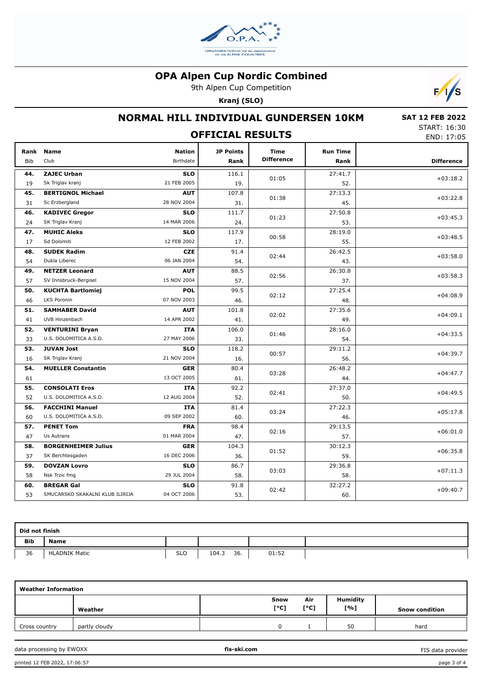

9th Alpen Cup Competition

**Kranj (SLO)**



# **NORMAL HILL INDIVIDUAL GUNDERSEN 10KM**

 **SAT 12 FEB 2022** START: 16:30 END: 17:05

| <b>OFFICIAL RESULTS</b> |                                 |                            |                          |                                  |                         |                   |
|-------------------------|---------------------------------|----------------------------|--------------------------|----------------------------------|-------------------------|-------------------|
| Rank<br><b>Bib</b>      | <b>Name</b><br>Club             | <b>Nation</b><br>Birthdate | <b>JP Points</b><br>Rank | <b>Time</b><br><b>Difference</b> | <b>Run Time</b><br>Rank | <b>Difference</b> |
| 44.                     | <b>ZAJEC Urban</b>              | <b>SLO</b>                 | 116.1                    |                                  | 27:41.7                 |                   |
| 19                      | Sk Triglav kranj                | 21 FEB 2005                | 19.                      | 01:05                            | 52.                     | $+03:18.2$        |
| 45.                     | <b>BERTIGNOL Michael</b>        | <b>AUT</b>                 | 107.8                    |                                  | 27:13.3                 |                   |
| 31                      | Sc Erzbergland                  | 28 NOV 2004                | 31.                      | 01:38                            | 45.                     | $+03:22.8$        |
| 46.                     | <b>KADIVEC Gregor</b>           | <b>SLO</b>                 | 111.7                    |                                  | 27:50.8                 |                   |
| 24                      | SK Triglav Kranj                | 14 MAR 2006                | 24.                      | 01:23                            | 53.                     | $+03:45.3$        |
| 47.                     | <b>MUHIC Aleks</b>              | <b>SLO</b>                 | 117.9                    |                                  | 28:19.0                 |                   |
| 17                      | Sd Dolomiti                     | 12 FEB 2002                | 17.                      | 00:58                            | 55.                     | $+03:48.5$        |
| 48.                     | <b>SUDEK Radim</b>              | <b>CZE</b>                 | 91.4                     |                                  | 26:42.5                 |                   |
| 54                      | Dukla Liberec                   | 06 JAN 2004                | 54.                      | 02:44                            | 43.                     | $+03:58.0$        |
| 49.                     | <b>NETZER Leonard</b>           | <b>AUT</b>                 | 88.5                     |                                  | 26:30.8                 |                   |
| 57                      | SV Innsbruck-Bergisel           | 15 NOV 2004                | 57.                      | 02:56                            | 37.                     | $+03:58.3$        |
| 50.                     | <b>KUCHTA Bartlomiej</b>        | <b>POL</b>                 | 99.5                     | 02:12                            | 27:25.4                 | $+04:08.9$        |
| 46                      | LKS Poronin                     | 07 NOV 2003                | 46.                      |                                  | 48.                     |                   |
| 51.                     | <b>SAMHABER David</b>           | <b>AUT</b>                 | 101.8                    |                                  | 27:35.6                 |                   |
| 41                      | UVB Hinzenbach                  | 14 APR 2002                | 41.                      | 02:02                            | 49.                     | $+04:09.1$        |
| 52.                     | <b>VENTURINI Bryan</b>          | <b>ITA</b>                 | 106.0                    |                                  | 28:16.0                 |                   |
| 33                      | U.S. DOLOMITICA A.S.D.          | 27 MAY 2006                | 33.                      | 01:46                            | 54.                     | $+04:33.5$        |
| 53.                     | <b>JUVAN Jost</b>               | <b>SLO</b>                 | 118.2                    | 00:57                            | 29:11.2                 | $+04:39.7$        |
| 16                      | SK Triglav Kranj                | 21 NOV 2004                | 16.                      |                                  | 56.                     |                   |
| 54.                     | <b>MUELLER Constantin</b>       | <b>GER</b>                 | 80.4                     | 03:28                            | 26:48.2                 | $+04:47.7$        |
| 61                      |                                 | 13 OCT 2005                | 61.                      |                                  | 44.                     |                   |
| 55.                     | <b>CONSOLATI Eros</b>           | <b>ITA</b>                 | 92.2                     | 02:41                            | 27:37.0                 | $+04:49.5$        |
| 52                      | U.S. DOLOMITICA A.S.D.          | 12 AUG 2004                | 52.                      |                                  | 50.                     |                   |
| 56.                     | <b>FACCHINI Manuel</b>          | <b>ITA</b>                 | 81.4                     | 03:24                            | 27:22.3                 | $+05:17.8$        |
| 60                      | U.S. DOLOMITICA A.S.D.          | 09 SEP 2002                | 60.                      |                                  | 46.                     |                   |
| 57.                     | <b>PENET Tom</b>                | <b>FRA</b>                 | 98.4                     | 02:16                            | 29:13.5                 | $+06:01.0$        |
| 47                      | Us Autrans                      | 01 MAR 2004                | 47.                      |                                  | 57.                     |                   |
| 58.                     | <b>BORGENHEIMER Julius</b>      | <b>GER</b>                 | 104.3                    | 01:52                            | 30:12.3                 | $+06:35.8$        |
| 37                      | SK Berchtesgaden                | 16 DEC 2006                | 36.                      |                                  | 59.                     |                   |
| 59.                     | <b>DOVZAN Lovro</b>             | <b>SLO</b>                 | 86.7                     | 03:03                            | 29:36.8                 | $+07:11.3$        |
| 58                      | Nsk Trzic fmg                   | 29 JUL 2004                | 58.                      |                                  | 58.                     |                   |
| 60.                     | <b>BREGAR Gal</b>               | <b>SLO</b>                 | 91.8                     | 02:42                            | 32:27.2                 | $+09:40.7$        |
| 53                      | SMUCARSKO SKAKALNI KLUB ILIRIJA | 04 OCT 2006                | 53.                      |                                  | 60.                     |                   |

| Did not finish |                      |            |              |       |  |  |  |
|----------------|----------------------|------------|--------------|-------|--|--|--|
| <b>Bib</b>     | <b>Name</b>          |            |              |       |  |  |  |
| 36             | <b>HLADNIK Matic</b> | <b>SLO</b> | 36.<br>104.3 | 01:52 |  |  |  |

| <b>Weather Information</b> |               |              |             |                        |                       |  |  |
|----------------------------|---------------|--------------|-------------|------------------------|-----------------------|--|--|
|                            | Weather       | Snow<br>[°C] | Air<br>[°C] | <b>Humidity</b><br>[%] | <b>Snow condition</b> |  |  |
| Cross country              | partly cloudy |              |             | 50                     | hard                  |  |  |

data processing by EWOXX **fis-ski.com**

FIS data provider